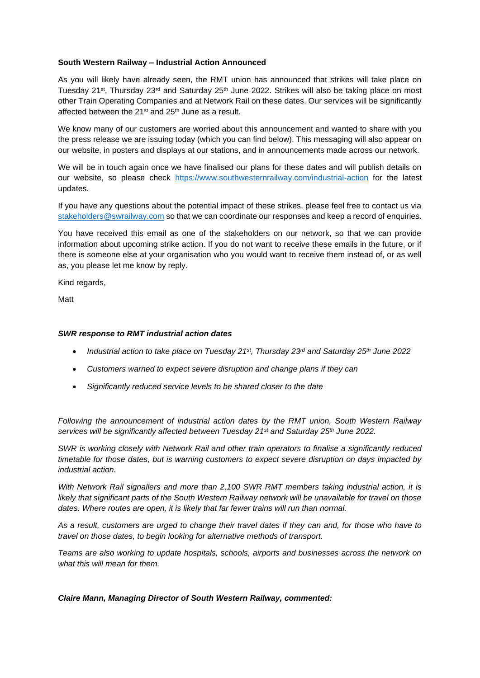## **South Western Railway – Industrial Action Announced**

As you will likely have already seen, the RMT union has announced that strikes will take place on Tuesday 21<sup>st</sup>, Thursday 23<sup>rd</sup> and Saturday 25<sup>th</sup> June 2022. Strikes will also be taking place on most other Train Operating Companies and at Network Rail on these dates. Our services will be significantly affected between the  $21^{st}$  and  $25^{th}$  June as a result.

We know many of our customers are worried about this announcement and wanted to share with you the press release we are issuing today (which you can find below). This messaging will also appear on our website, in posters and displays at our stations, and in announcements made across our network.

We will be in touch again once we have finalised our plans for these dates and will publish details on our website, so please check <https://www.southwesternrailway.com/industrial-action> for the latest updates.

If you have any questions about the potential impact of these strikes, please feel free to contact us via [stakeholders@swrailway.com](mailto:stakeholders@swrailway.com) so that we can coordinate our responses and keep a record of enquiries.

You have received this email as one of the stakeholders on our network, so that we can provide information about upcoming strike action. If you do not want to receive these emails in the future, or if there is someone else at your organisation who you would want to receive them instead of, or as well as, you please let me know by reply.

Kind regards,

Matt

## *SWR response to RMT industrial action dates*

- *Industrial action to take place on Tuesday 21st, Thursday 23rd and Saturday 25th June 2022*
- *Customers warned to expect severe disruption and change plans if they can*
- *Significantly reduced service levels to be shared closer to the date*

*Following the announcement of industrial action dates by the RMT union, South Western Railway services will be significantly affected between Tuesday 21st and Saturday 25th June 2022.*

*SWR is working closely with Network Rail and other train operators to finalise a significantly reduced timetable for those dates, but is warning customers to expect severe disruption on days impacted by industrial action.* 

*With Network Rail signallers and more than 2,100 SWR RMT members taking industrial action, it is likely that significant parts of the South Western Railway network will be unavailable for travel on those dates. Where routes are open, it is likely that far fewer trains will run than normal.*

*As a result, customers are urged to change their travel dates if they can and, for those who have to travel on those dates, to begin looking for alternative methods of transport.* 

*Teams are also working to update hospitals, schools, airports and businesses across the network on what this will mean for them.*

*Claire Mann, Managing Director of South Western Railway, commented:*